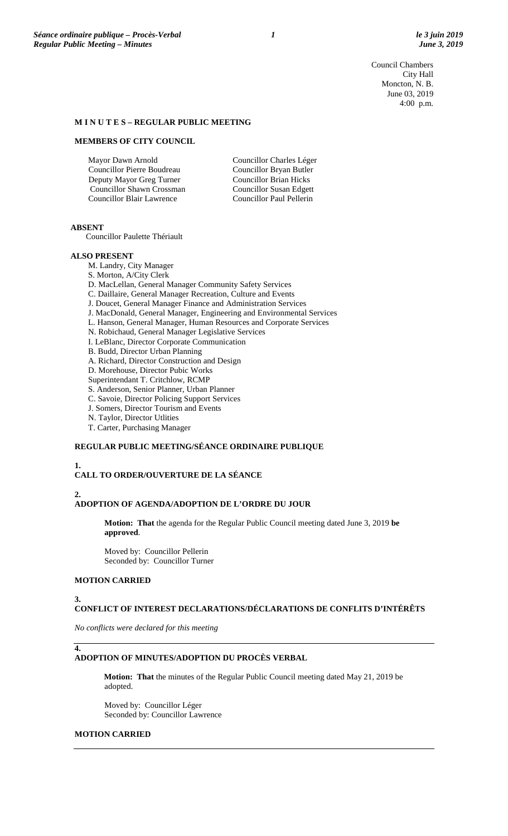Council Chambers City Hall Moncton, N. B. June 03, 2019 4:00 p.m.

### **M I N U T E S – REGULAR PUBLIC MEETING**

#### **MEMBERS OF CITY COUNCIL**

| Mayor Dawn Arnold                | Councillor Charles Léger      |
|----------------------------------|-------------------------------|
| Councillor Pierre Boudreau       | Councillor Bryan Butler       |
| Deputy Mayor Greg Turner         | <b>Councillor Brian Hicks</b> |
| Councillor Shawn Crossman        | Councillor Susan Edgett       |
| <b>Councillor Blair Lawrence</b> | Councillor Paul Pellerin      |
|                                  |                               |

#### **ABSENT**

Councillor Paulette Thériault

#### **ALSO PRESENT**

M. Landry, City Manager S. Morton, A/City Clerk D. MacLellan, General Manager Community Safety Services C. Daillaire, General Manager Recreation, Culture and Events J. Doucet, General Manager Finance and Administration Services J. MacDonald, General Manager, Engineering and Environmental Services L. Hanson, General Manager, Human Resources and Corporate Services N. Robichaud, General Manager Legislative Services I. LeBlanc, Director Corporate Communication B. Budd, Director Urban Planning A. Richard, Director Construction and Design D. Morehouse, Director Pubic Works Superintendant T. Critchlow, RCMP S. Anderson, Senior Planner, Urban Planner C. Savoie, Director Policing Support Services

- J. Somers, Director Tourism and Events
- N. Taylor, Director Utlities
- T. Carter, Purchasing Manager

### **REGULAR PUBLIC MEETING/SÉANCE ORDINAIRE PUBLIQUE**

**1.**

# **CALL TO ORDER/OUVERTURE DE LA SÉANCE**

### **2.**

### **ADOPTION OF AGENDA/ADOPTION DE L'ORDRE DU JOUR**

**Motion: That** the agenda for the Regular Public Council meeting dated June 3, 2019 **be approved**.

Moved by: Councillor Pellerin Seconded by: Councillor Turner

### **MOTION CARRIED**

#### **3.**

### **CONFLICT OF INTEREST DECLARATIONS/DÉCLARATIONS DE CONFLITS D'INTÉRÊTS**

*No conflicts were declared for this meeting*

# **4.**

## **ADOPTION OF MINUTES/ADOPTION DU PROCÈS VERBAL**

**Motion: That** the minutes of the Regular Public Council meeting dated May 21, 2019 be adopted.

Moved by: Councillor Léger Seconded by: Councillor Lawrence

### **MOTION CARRIED**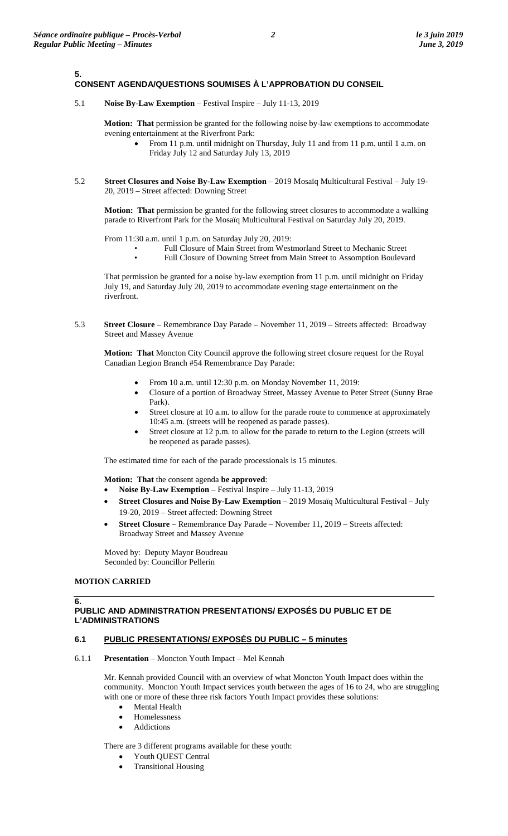**5.**

### **CONSENT AGENDA/QUESTIONS SOUMISES À L'APPROBATION DU CONSEIL**

5.1 **Noise By-Law Exemption** – Festival Inspire – July 11-13, 2019

**Motion: That** permission be granted for the following noise by-law exemptions to accommodate evening entertainment at the Riverfront Park:

- From 11 p.m. until midnight on Thursday, July 11 and from 11 p.m. until 1 a.m. on Friday July 12 and Saturday July 13, 2019
- 5.2 **Street Closures and Noise By-Law Exemption** 2019 Mosaïq Multicultural Festival July 19- 20, 2019 – Street affected: Downing Street

**Motion: That** permission be granted for the following street closures to accommodate a walking parade to Riverfront Park for the Mosaïq Multicultural Festival on Saturday July 20, 2019.

From 11:30 a.m. until 1 p.m. on Saturday July 20, 2019:

- Full Closure of Main Street from Westmorland Street to Mechanic Street
	- Full Closure of Downing Street from Main Street to Assomption Boulevard

That permission be granted for a noise by-law exemption from 11 p.m. until midnight on Friday July 19, and Saturday July 20, 2019 to accommodate evening stage entertainment on the riverfront.

5.3 **Street Closure** – Remembrance Day Parade – November 11, 2019 – Streets affected: Broadway Street and Massey Avenue

**Motion: That** Moncton City Council approve the following street closure request for the Royal Canadian Legion Branch #54 Remembrance Day Parade:

- From 10 a.m. until 12:30 p.m. on Monday November 11, 2019:
- Closure of a portion of Broadway Street, Massey Avenue to Peter Street (Sunny Brae Park).
- Street closure at 10 a.m. to allow for the parade route to commence at approximately 10:45 a.m. (streets will be reopened as parade passes).
- Street closure at 12 p.m. to allow for the parade to return to the Legion (streets will be reopened as parade passes).

The estimated time for each of the parade processionals is 15 minutes.

**Motion: That** the consent agenda **be approved**:

- **Noise By-Law Exemption**  Festival Inspire July 11-13, 2019
- **Street Closures and Noise By-Law Exemption** 2019 Mosaïq Multicultural Festival July 19-20, 2019 – Street affected: Downing Street
- **Street Closure**  Remembrance Day Parade November 11, 2019 Streets affected: Broadway Street and Massey Avenue

Moved by: Deputy Mayor Boudreau Seconded by: Councillor Pellerin

### **MOTION CARRIED**

### **6. PUBLIC AND ADMINISTRATION PRESENTATIONS/ EXPOSÉS DU PUBLIC ET DE L'ADMINISTRATIONS**

### **6.1 PUBLIC PRESENTATIONS/ EXPOSÉS DU PUBLIC – 5 minutes**

6.1.1 **Presentation** – Moncton Youth Impact – Mel Kennah

Mr. Kennah provided Council with an overview of what Moncton Youth Impact does within the community. Moncton Youth Impact services youth between the ages of 16 to 24, who are struggling with one or more of these three risk factors Youth Impact provides these solutions:

- **Mental Health**
- Homelessness
- **Addictions**

There are 3 different programs available for these youth:

- Youth QUEST Central
- Transitional Housing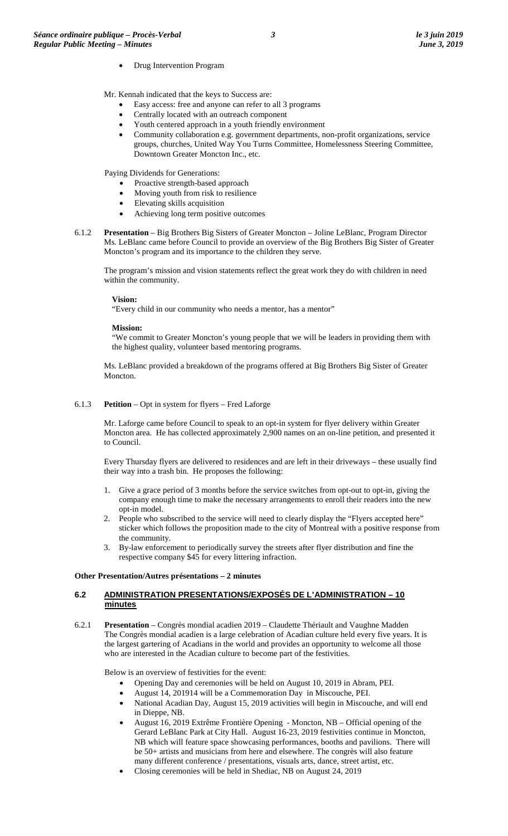- Drug Intervention Program
- Mr. Kennah indicated that the keys to Success are:
	- Easy access: free and anyone can refer to all 3 programs
	- Centrally located with an outreach component
	- Youth centered approach in a youth friendly environment
	- Community collaboration e.g. government departments, non-profit organizations, service groups, churches, United Way You Turns Committee, Homelessness Steering Committee, Downtown Greater Moncton Inc., etc.

Paying Dividends for Generations:

- Proactive strength-based approach
- Moving youth from risk to resilience
- Elevating skills acquisition
- Achieving long term positive outcomes
- 6.1.2 **Presentation** Big Brothers Big Sisters of Greater Moncton Joline LeBlanc, Program Director Ms. LeBlanc came before Council to provide an overview of the Big Brothers Big Sister of Greater Moncton's program and its importance to the children they serve.

The program's mission and vision statements reflect the great work they do with children in need within the community.

#### **Vision:**

"Every child in our community who needs a mentor, has a mentor"

#### **Mission:**

"We commit to Greater Moncton's young people that we will be leaders in providing them with the highest quality, volunteer based mentoring programs.

Ms. LeBlanc provided a breakdown of the programs offered at Big Brothers Big Sister of Greater Moncton.

6.1.3 **Petition** – Opt in system for flyers – Fred Laforge

Mr. Laforge came before Council to speak to an opt-in system for flyer delivery within Greater Moncton area. He has collected approximately 2,900 names on an on-line petition, and presented it to Council.

Every Thursday flyers are delivered to residences and are left in their driveways – these usually find their way into a trash bin. He proposes the following:

- 1. Give a grace period of 3 months before the service switches from opt-out to opt-in, giving the company enough time to make the necessary arrangements to enroll their readers into the new opt-in model.
- 2. People who subscribed to the service will need to clearly display the "Flyers accepted here" sticker which follows the proposition made to the city of Montreal with a positive response from the community.
- 3. By-law enforcement to periodically survey the streets after flyer distribution and fine the respective company \$45 for every littering infraction.

#### **Other Presentation/Autres présentations – 2 minutes**

### **6.2 ADMINISTRATION PRESENTATIONS/EXPOSÉS DE L'ADMINISTRATION – 10 minutes**

6.2.1 **Presentation** – Congrès mondial acadien 2019 – Claudette Thériault and Vaughne Madden The Congrès mondial acadien is a large celebration of Acadian culture held every five years. It is the largest gartering of Acadians in the world and provides an opportunity to welcome all those who are interested in the Acadian culture to become part of the festivities.

Below is an overview of festivities for the event:

- Opening Day and ceremonies will be held on August 10, 2019 in Abram, PEI.
- August 14, 201914 will be a Commemoration Day in Miscouche, PEI.
- National Acadian Day, August 15, 2019 activities will begin in Miscouche, and will end in Dieppe, NB.
- August 16, 2019 Extrême Frontière Opening Moncton, NB Official opening of the Gerard LeBlanc Park at City Hall. August 16-23, 2019 festivities continue in Moncton, NB which will feature space showcasing performances, booths and pavilions. There will be 50+ artists and musicians from here and elsewhere. The congrès will also feature many different conference / presentations, visuals arts, dance, street artist, etc.
- Closing ceremonies will be held in Shediac, NB on August 24, 2019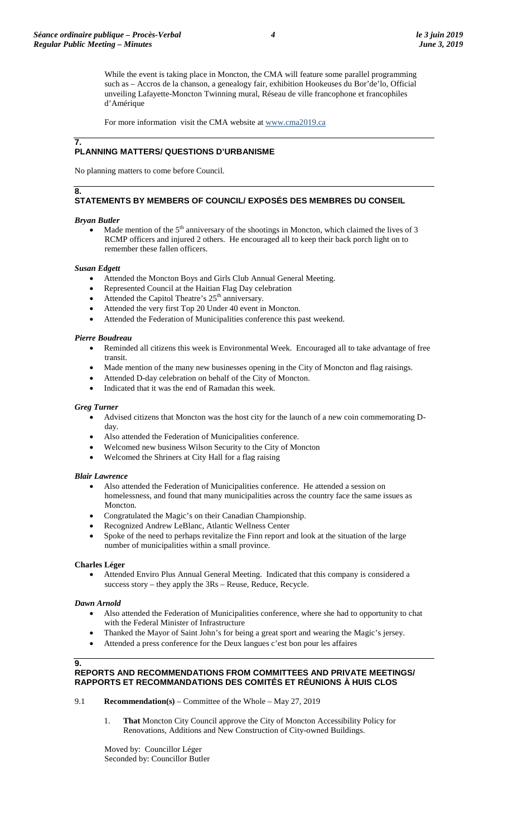While the event is taking place in Moncton, the CMA will feature some parallel programming such as – Accros de la chanson, a genealogy fair, exhibition Hookeuses du Bor'de'lo, Official unveiling Lafayette-Moncton Twinning mural, Réseau de ville francophone et francophiles d'Amérique

For more information visit the CMA website at [www.cma2019.ca](http://www.cma2019.ca/)

#### **7. PLANNING MATTERS/ QUESTIONS D'URBANISME**

No planning matters to come before Council.

## **8. STATEMENTS BY MEMBERS OF COUNCIL/ EXPOSÉS DES MEMBRES DU CONSEIL**

### *Bryan Butler*

Made mention of the  $5<sup>th</sup>$  anniversary of the shootings in Moncton, which claimed the lives of 3 RCMP officers and injured 2 others. He encouraged all to keep their back porch light on to remember these fallen officers.

### *Susan Edgett*

- Attended the Moncton Boys and Girls Club Annual General Meeting.
- Represented Council at the Haitian Flag Day celebration
- Attended the Capitol Theatre's 25<sup>th</sup> anniversary.
- Attended the very first Top 20 Under 40 event in Moncton.
- Attended the Federation of Municipalities conference this past weekend.

### *Pierre Boudreau*

- Reminded all citizens this week is Environmental Week. Encouraged all to take advantage of free transit.
- Made mention of the many new businesses opening in the City of Moncton and flag raisings.
- Attended D-day celebration on behalf of the City of Moncton.
- Indicated that it was the end of Ramadan this week.

### *Greg Turner*

- Advised citizens that Moncton was the host city for the launch of a new coin commemorating Dday.
- Also attended the Federation of Municipalities conference.
- Welcomed new business Wilson Security to the City of Moncton
- Welcomed the Shriners at City Hall for a flag raising

### *Blair Lawrence*

- Also attended the Federation of Municipalities conference. He attended a session on homelessness, and found that many municipalities across the country face the same issues as Moncton.
- Congratulated the Magic's on their Canadian Championship.
- Recognized Andrew LeBlanc, Atlantic Wellness Center
- Spoke of the need to perhaps revitalize the Finn report and look at the situation of the large number of municipalities within a small province.

## **Charles Léger**

• Attended Enviro Plus Annual General Meeting. Indicated that this company is considered a success story – they apply the 3Rs – Reuse, Reduce, Recycle.

### *Dawn Arnold*

- Also attended the Federation of Municipalities conference, where she had to opportunity to chat with the Federal Minister of Infrastructure
- Thanked the Mayor of Saint John's for being a great sport and wearing the Magic's jersey.
- Attended a press conference for the Deux langues c'est bon pour les affaires

### **9.**

### **REPORTS AND RECOMMENDATIONS FROM COMMITTEES AND PRIVATE MEETINGS/ RAPPORTS ET RECOMMANDATIONS DES COMITÉS ET RÉUNIONS À HUIS CLOS**

- 9.1 **Recommendation(s)** Committee of the Whole May 27, 2019
	- 1. **That** Moncton City Council approve the City of Moncton Accessibility Policy for Renovations, Additions and New Construction of City-owned Buildings.

Moved by: Councillor Léger Seconded by: Councillor Butler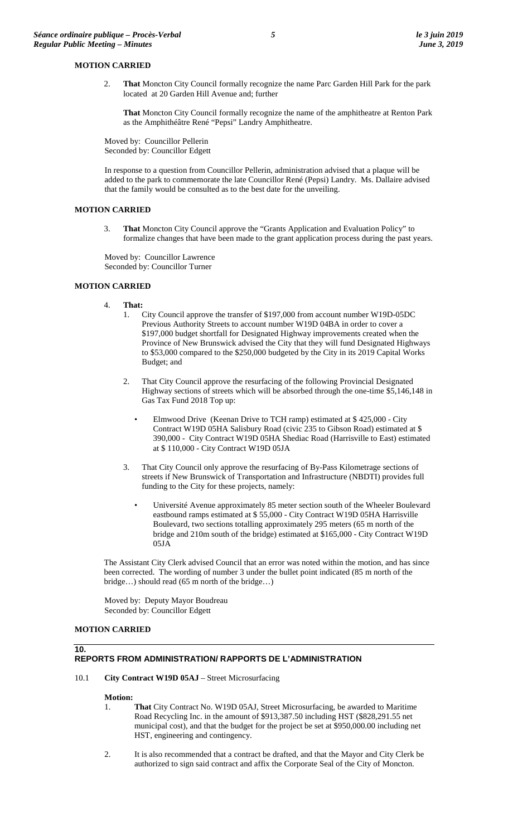### **MOTION CARRIED**

2. **That** Moncton City Council formally recognize the name Parc Garden Hill Park for the park located at 20 Garden Hill Avenue and; further

**That** Moncton City Council formally recognize the name of the amphitheatre at Renton Park as the Amphithéâtre René "Pepsi" Landry Amphitheatre.

Moved by: Councillor Pellerin Seconded by: Councillor Edgett

In response to a question from Councillor Pellerin, administration advised that a plaque will be added to the park to commemorate the late Councillor René (Pepsi) Landry. Ms. Dallaire advised that the family would be consulted as to the best date for the unveiling.

### **MOTION CARRIED**

3. **That** Moncton City Council approve the "Grants Application and Evaluation Policy" to formalize changes that have been made to the grant application process during the past years.

Moved by: Councillor Lawrence Seconded by: Councillor Turner

# **MOTION CARRIED**

- 4. **That:**
	- 1. City Council approve the transfer of \$197,000 from account number W19D-05DC Previous Authority Streets to account number W19D 04BA in order to cover a \$197,000 budget shortfall for Designated Highway improvements created when the Province of New Brunswick advised the City that they will fund Designated Highways to \$53,000 compared to the \$250,000 budgeted by the City in its 2019 Capital Works Budget; and
	- 2. That City Council approve the resurfacing of the following Provincial Designated Highway sections of streets which will be absorbed through the one-time \$5,146,148 in Gas Tax Fund 2018 Top up:
		- Elmwood Drive (Keenan Drive to TCH ramp) estimated at \$ 425,000 City Contract W19D 05HA Salisbury Road (civic 235 to Gibson Road) estimated at \$ 390,000 - City Contract W19D 05HA Shediac Road (Harrisville to East) estimated at \$ 110,000 - City Contract W19D 05JA
	- 3. That City Council only approve the resurfacing of By-Pass Kilometrage sections of streets if New Brunswick of Transportation and Infrastructure (NBDTI) provides full funding to the City for these projects, namely:
		- Université Avenue approximately 85 meter section south of the Wheeler Boulevard eastbound ramps estimated at \$ 55,000 - City Contract W19D 05HA Harrisville Boulevard, two sections totalling approximately 295 meters (65 m north of the bridge and 210m south of the bridge) estimated at \$165,000 - City Contract W19D 05JA

The Assistant City Clerk advised Council that an error was noted within the motion, and has since been corrected. The wording of number 3 under the bullet point indicated (85 m north of the bridge…) should read (65 m north of the bridge…)

Moved by: Deputy Mayor Boudreau Seconded by: Councillor Edgett

## **MOTION CARRIED**

**10.**

# **REPORTS FROM ADMINISTRATION/ RAPPORTS DE L'ADMINISTRATION**

### 10.1 **City Contract W19D 05AJ** – Street Microsurfacing

### **Motion:**

- 1. **That** City Contract No. W19D 05AJ, Street Microsurfacing, be awarded to Maritime Road Recycling Inc. in the amount of \$913,387.50 including HST (\$828,291.55 net municipal cost), and that the budget for the project be set at \$950,000.00 including net HST, engineering and contingency.
- 2. It is also recommended that a contract be drafted, and that the Mayor and City Clerk be authorized to sign said contract and affix the Corporate Seal of the City of Moncton.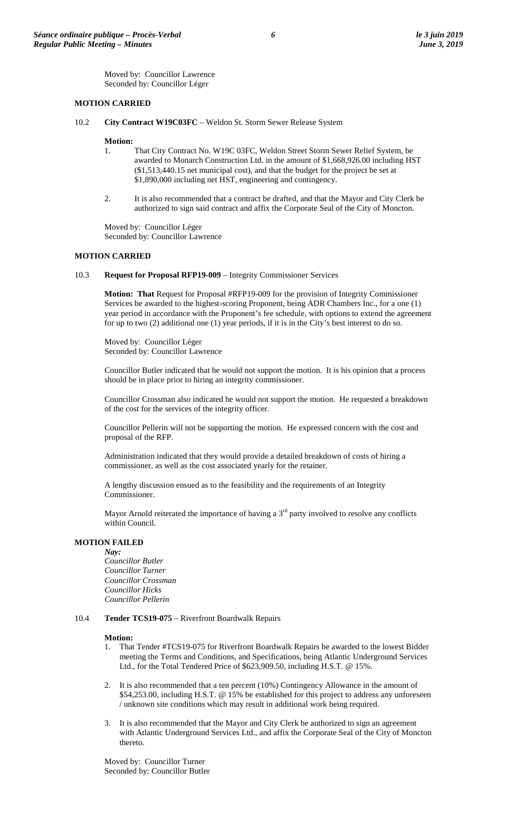Moved by: Councillor Lawrence Seconded by: Councillor Léger

### **MOTION CARRIED**

10.2 **City Contract W19C03FC** – Weldon St. Storm Sewer Release System

#### **Motion:**

- 1. That City Contract No. W19C 03FC, Weldon Street Storm Sewer Relief System, be awarded to Monarch Construction Ltd. in the amount of \$1,668,926.00 including HST (\$1,513,440.15 net municipal cost), and that the budget for the project be set at \$1,890,000 including net HST, engineering and contingency.
- 2. It is also recommended that a contract be drafted, and that the Mayor and City Clerk be authorized to sign said contract and affix the Corporate Seal of the City of Moncton.

Moved by: Councillor Léger Seconded by: Councillor Lawrence

#### **MOTION CARRIED**

10.3 **Request for Proposal RFP19-009** – Integrity Commissioner Services

**Motion: That** Request for Proposal #RFP19-009 for the provision of Integrity Commissioner Services be awarded to the highest-scoring Proponent, being ADR Chambers Inc., for a one (1) year period in accordance with the Proponent's fee schedule, with options to extend the agreement for up to two (2) additional one (1) year periods, if it is in the City's best interest to do so.

Moved by: Councillor Léger Seconded by: Councillor Lawrence

Councillor Butler indicated that he would not support the motion. It is his opinion that a process should be in place prior to hiring an integrity commissioner.

Councillor Crossman also indicated he would not support the motion. He requested a breakdown of the cost for the services of the integrity officer.

Councillor Pellerin will not be supporting the motion. He expressed concern with the cost and proposal of the RFP.

Administration indicated that they would provide a detailed breakdown of costs of hiring a commissioner, as well as the cost associated yearly for the retainer.

A lengthy discussion ensued as to the feasibility and the requirements of an Integrity Commissioner.

Mayor Arnold reiterated the importance of having a  $3<sup>rd</sup>$  party involved to resolve any conflicts within Council.

## **MOTION FAILED**

*Nay: Councillor Butler Councillor Turner Councillor Crossman Councillor Hicks Councillor Pellerin*

## 10.4 **Tender TCS19-075** – Riverfront Boardwalk Repairs

#### **Motion:**

- 1. That Tender #TCS19-075 for Riverfront Boardwalk Repairs be awarded to the lowest Bidder meeting the Terms and Conditions, and Specifications, being Atlantic Underground Services Ltd., for the Total Tendered Price of \$623,909.50, including H.S.T. @ 15%.
- 2. It is also recommended that a ten percent (10%) Contingency Allowance in the amount of \$54,253.00, including H.S.T. @ 15% be established for this project to address any unforeseen / unknown site conditions which may result in additional work being required.
- 3. It is also recommended that the Mayor and City Clerk be authorized to sign an agreement with Atlantic Underground Services Ltd., and affix the Corporate Seal of the City of Moncton thereto.

Moved by: Councillor Turner Seconded by: Councillor Butler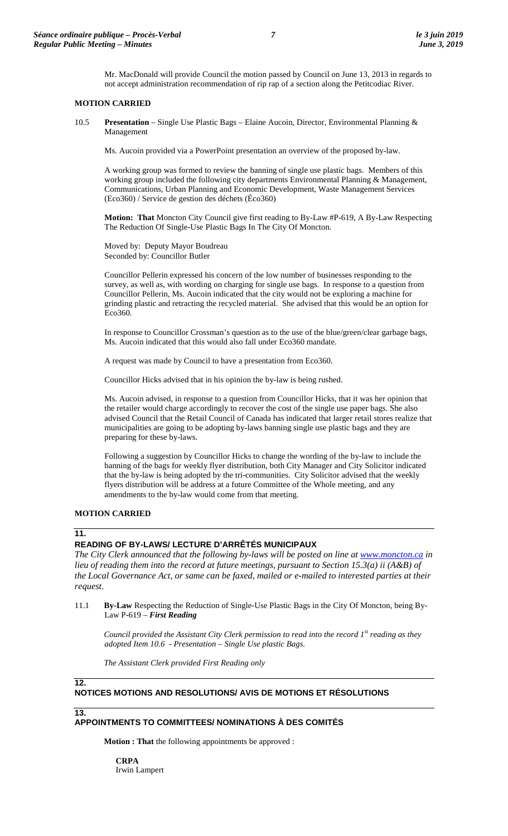Mr. MacDonald will provide Council the motion passed by Council on June 13, 2013 in regards to not accept administration recommendation of rip rap of a section along the Petitcodiac River.

### **MOTION CARRIED**

10.5 **Presentation** – Single Use Plastic Bags – Elaine Aucoin, Director, Environmental Planning & Management

Ms. Aucoin provided via a PowerPoint presentation an overview of the proposed by-law.

A working group was formed to review the banning of single use plastic bags. Members of this working group included the following city departments Environmental Planning & Management, Communications, Urban Planning and Economic Development, Waste Management Services (Eco360) / Service de gestion des déchets (Éco360)

**Motion: That** Moncton City Council give first reading to By-Law #P-619, A By-Law Respecting The Reduction Of Single-Use Plastic Bags In The City Of Moncton.

Moved by: Deputy Mayor Boudreau Seconded by: Councillor Butler

Councillor Pellerin expressed his concern of the low number of businesses responding to the survey, as well as, with wording on charging for single use bags. In response to a question from Councillor Pellerin, Ms. Aucoin indicated that the city would not be exploring a machine for grinding plastic and retracting the recycled material. She advised that this would be an option for Eco360.

In response to Councillor Crossman's question as to the use of the blue/green/clear garbage bags, Ms. Aucoin indicated that this would also fall under Eco360 mandate.

A request was made by Council to have a presentation from Eco360.

Councillor Hicks advised that in his opinion the by-law is being rushed.

Ms. Aucoin advised, in response to a question from Councillor Hicks, that it was her opinion that the retailer would charge accordingly to recover the cost of the single use paper bags. She also advised Council that the Retail Council of Canada has indicated that larger retail stores realize that municipalities are going to be adopting by-laws banning single use plastic bags and they are preparing for these by-laws.

Following a suggestion by Councillor Hicks to change the wording of the by-law to include the banning of the bags for weekly flyer distribution, both City Manager and City Solicitor indicated that the by-law is being adopted by the tri-communities. City Solicitor advised that the weekly flyers distribution will be address at a future Committee of the Whole meeting, and any amendments to the by-law would come from that meeting.

## **MOTION CARRIED**

### **11.**

## **READING OF BY-LAWS/ LECTURE D'ARRÊTÉS MUNICIPAUX**

The City Clerk announced that the following by-laws will be posted on line at **www.moncton.ca** in *lieu of reading them into the record at future meetings, pursuant to Section 15.3(a) ii (A&B) of the Local Governance Act, or same can be faxed, mailed or e-mailed to interested parties at their request*.

### 11.1 **By-Law** Respecting the Reduction of Single-Use Plastic Bags in the City Of Moncton, being By-Law P-619 – *First Reading*

*Council provided the Assistant City Clerk permission to read into the record 1st reading as they adopted Item 10.6 - Presentation – Single Use plastic Bags.* 

*The Assistant Clerk provided First Reading only*

### **12. NOTICES MOTIONS AND RESOLUTIONS/ AVIS DE MOTIONS ET RÉSOLUTIONS**

**13.**

# **APPOINTMENTS TO COMMITTEES/ NOMINATIONS À DES COMITÉS**

**Motion : That** the following appointments be approved :

**CRPA** Irwin Lampert